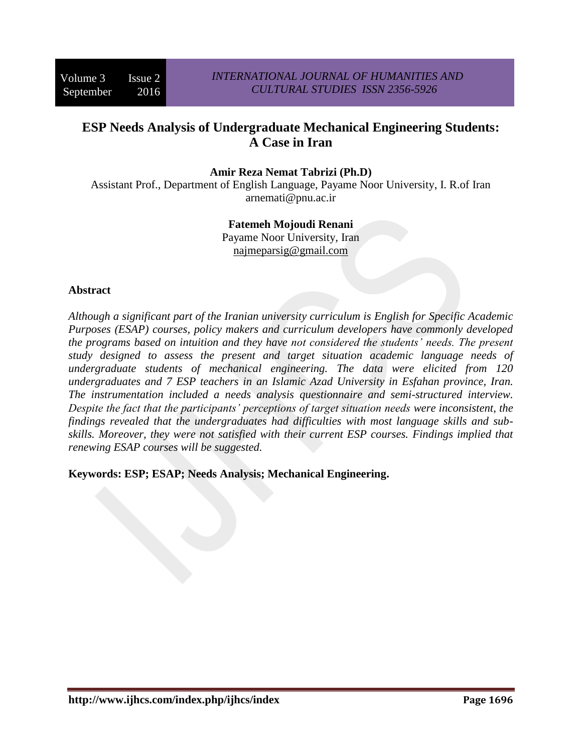# **ESP Needs Analysis of Undergraduate Mechanical Engineering Students: A Case in Iran**

## **Amir Reza Nemat Tabrizi (Ph.D)**

Assistant Prof., Department of English Language, Payame Noor University, I. R.of Iran arnemati@pnu.ac.ir

## **Fatemeh Mojoudi Renani**

Payame Noor University, Iran [najmeparsig@gmail.com](mailto:najmeparsig@gmail.com)

## **Abstract**

*Although a significant part of the Iranian university curriculum is English for Specific Academic Purposes (ESAP) courses, policy makers and curriculum developers have commonly developed the programs based on intuition and they have not considered the students' needs. The present study designed to assess the present and target situation academic language needs of undergraduate students of mechanical engineering. The data were elicited from 120 undergraduates and 7 ESP teachers in an Islamic Azad University in Esfahan province, Iran. The instrumentation included a needs analysis questionnaire and semi-structured interview. Despite the fact that the participants' perceptions of target situation needs were inconsistent, the findings revealed that the undergraduates had difficulties with most language skills and subskills. Moreover, they were not satisfied with their current ESP courses. Findings implied that renewing ESAP courses will be suggested.* 

**Keywords: ESP; ESAP; Needs Analysis; Mechanical Engineering.**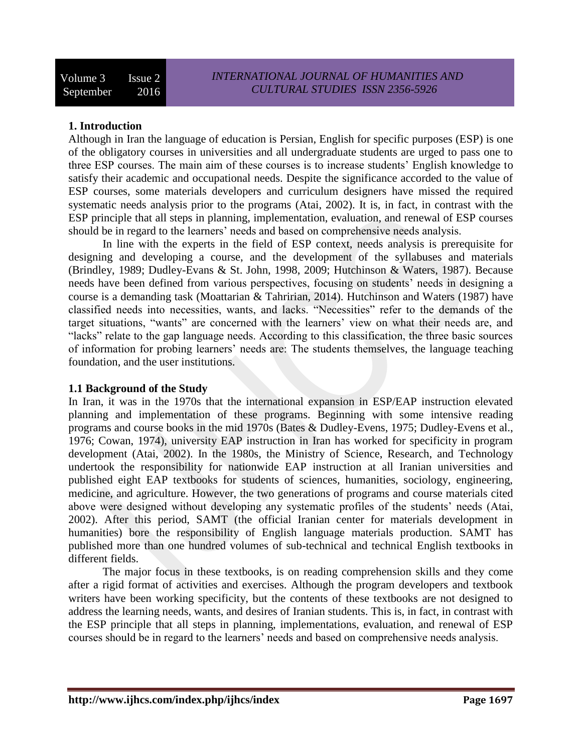# **1. Introduction**

Although in Iran the language of education is Persian, English for specific purposes (ESP) is one of the obligatory courses in universities and all undergraduate students are urged to pass one to three ESP courses. The main aim of these courses is to increase students' English knowledge to satisfy their academic and occupational needs. Despite the significance accorded to the value of ESP courses, some materials developers and curriculum designers have missed the required systematic needs analysis prior to the programs (Atai, 2002). It is, in fact, in contrast with the ESP principle that all steps in planning, implementation, evaluation, and renewal of ESP courses should be in regard to the learners' needs and based on comprehensive needs analysis.

In line with the experts in the field of ESP context, needs analysis is prerequisite for designing and developing a course, and the development of the syllabuses and materials (Brindley, 1989; Dudley-Evans & St. John, 1998, 2009; Hutchinson & Waters, 1987). Because needs have been defined from various perspectives, focusing on students' needs in designing a course is a demanding task (Moattarian & Tahririan, 2014). Hutchinson and Waters (1987) have classified needs into necessities, wants, and lacks. "Necessities" refer to the demands of the target situations, "wants" are concerned with the learners' view on what their needs are, and "lacks" relate to the gap language needs. According to this classification, the three basic sources of information for probing learners' needs are: The students themselves, the language teaching foundation, and the user institutions.

## **1.1 Background of the Study**

In Iran, it was in the 1970s that the international expansion in ESP/EAP instruction elevated planning and implementation of these programs. Beginning with some intensive reading programs and course books in the mid 1970s (Bates & Dudley-Evens, 1975; Dudley-Evens et al., 1976; Cowan, 1974), university EAP instruction in Iran has worked for specificity in program development (Atai, 2002). In the 1980s, the Ministry of Science, Research, and Technology undertook the responsibility for nationwide EAP instruction at all Iranian universities and published eight EAP textbooks for students of sciences, humanities, sociology, engineering, medicine, and agriculture. However, the two generations of programs and course materials cited above were designed without developing any systematic profiles of the students' needs (Atai, 2002). After this period, SAMT (the official Iranian center for materials development in humanities) bore the responsibility of English language materials production. SAMT has published more than one hundred volumes of sub-technical and technical English textbooks in different fields.

The major focus in these textbooks, is on reading comprehension skills and they come after a rigid format of activities and exercises. Although the program developers and textbook writers have been working specificity, but the contents of these textbooks are not designed to address the learning needs, wants, and desires of Iranian students. This is, in fact, in contrast with the ESP principle that all steps in planning, implementations, evaluation, and renewal of ESP courses should be in regard to the learners' needs and based on comprehensive needs analysis.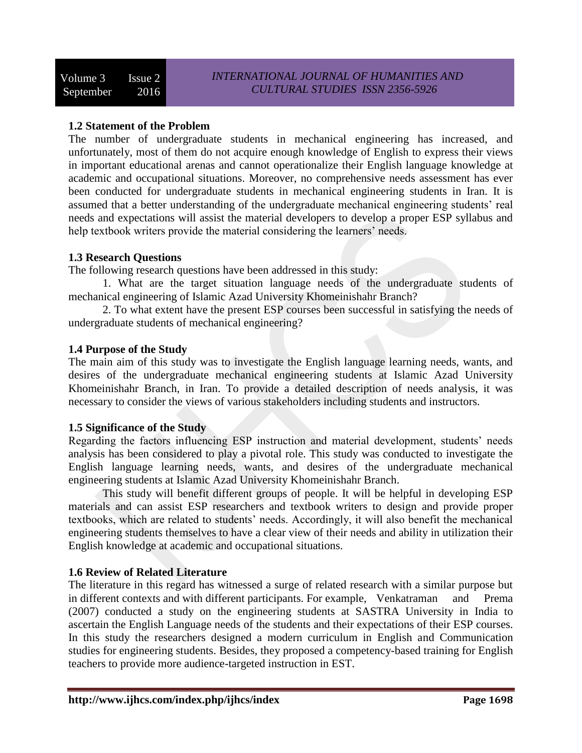## **1.2 Statement of the Problem**

The number of undergraduate students in mechanical engineering has increased, and unfortunately, most of them do not acquire enough knowledge of English to express their views in important educational arenas and cannot operationalize their English language knowledge at academic and occupational situations. Moreover, no comprehensive needs assessment has ever been conducted for undergraduate students in mechanical engineering students in Iran. It is assumed that a better understanding of the undergraduate mechanical engineering students' real needs and expectations will assist the material developers to develop a proper ESP syllabus and help textbook writers provide the material considering the learners' needs.

## **1.3 Research Questions**

The following research questions have been addressed in this study:

1. What are the target situation language needs of the undergraduate students of mechanical engineering of Islamic Azad University Khomeinishahr Branch?

2. To what extent have the present ESP courses been successful in satisfying the needs of undergraduate students of mechanical engineering?

## **1.4 Purpose of the Study**

The main aim of this study was to investigate the English language learning needs, wants, and desires of the undergraduate mechanical engineering students at Islamic Azad University Khomeinishahr Branch, in Iran. To provide a detailed description of needs analysis, it was necessary to consider the views of various stakeholders including students and instructors.

## **1.5 Significance of the Study**

Regarding the factors influencing ESP instruction and material development, students' needs analysis has been considered to play a pivotal role. This study was conducted to investigate the English language learning needs, wants, and desires of the undergraduate mechanical engineering students at Islamic Azad University Khomeinishahr Branch.

This study will benefit different groups of people. It will be helpful in developing ESP materials and can assist ESP researchers and textbook writers to design and provide proper textbooks, which are related to students' needs. Accordingly, it will also benefit the mechanical engineering students themselves to have a clear view of their needs and ability in utilization their English knowledge at academic and occupational situations.

# **1.6 Review of Related Literature**

The literature in this regard has witnessed a surge of related research with a similar purpose but in different contexts and with different participants. For example, Venkatraman and Prema (2007) conducted a study on the engineering students at SASTRA University in India to ascertain the English Language needs of the students and their expectations of their ESP courses. In this study the researchers designed a modern curriculum in English and Communication studies for engineering students. Besides, they proposed a competency-based training for English teachers to provide more audience-targeted instruction in EST.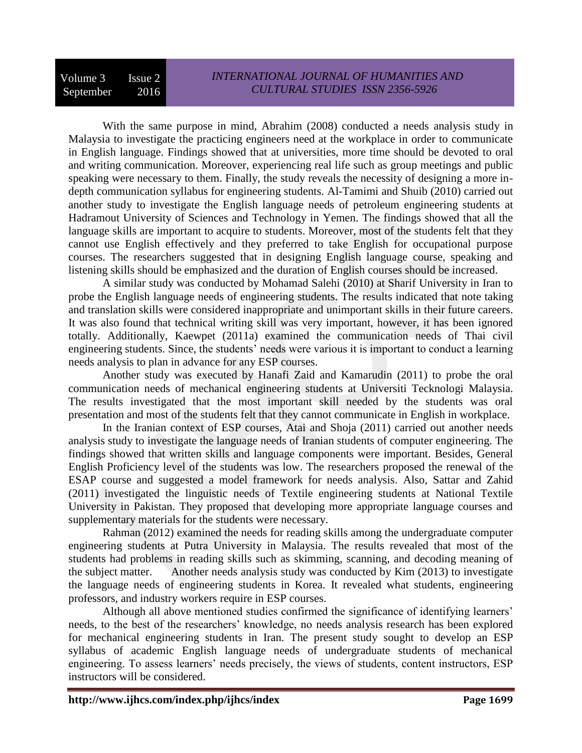With the same purpose in mind, Abrahim (2008) conducted a needs analysis study in Malaysia to investigate the practicing engineers need at the workplace in order to communicate in English language. Findings showed that at universities, more time should be devoted to oral and writing communication. Moreover, experiencing real life such as group meetings and public speaking were necessary to them. Finally, the study reveals the necessity of designing a more indepth communication syllabus for engineering students. Al-Tamimi and Shuib (2010) carried out another study to investigate the English language needs of petroleum engineering students at Hadramout University of Sciences and Technology in Yemen. The findings showed that all the language skills are important to acquire to students. Moreover, most of the students felt that they cannot use English effectively and they preferred to take English for occupational purpose courses. The researchers suggested that in designing English language course, speaking and listening skills should be emphasized and the duration of English courses should be increased.

A similar study was conducted by Mohamad Salehi (2010) at Sharif University in Iran to probe the English language needs of engineering students. The results indicated that note taking and translation skills were considered inappropriate and unimportant skills in their future careers. It was also found that technical writing skill was very important, however, it has been ignored totally. Additionally, Kaewpet (2011a) examined the communication needs of Thai civil engineering students. Since, the students' needs were various it is important to conduct a learning needs analysis to plan in advance for any ESP courses.

Another study was executed by Hanafi Zaid and Kamarudin (2011) to probe the oral communication needs of mechanical engineering students at Universiti Tecknologi Malaysia. The results investigated that the most important skill needed by the students was oral presentation and most of the students felt that they cannot communicate in English in workplace.

In the Iranian context of ESP courses, Atai and Shoja (2011) carried out another needs analysis study to investigate the language needs of Iranian students of computer engineering. The findings showed that written skills and language components were important. Besides, General English Proficiency level of the students was low. The researchers proposed the renewal of the ESAP course and suggested a model framework for needs analysis. Also, Sattar and Zahid (2011) investigated the linguistic needs of Textile engineering students at National Textile University in Pakistan. They proposed that developing more appropriate language courses and supplementary materials for the students were necessary.

Rahman (2012) examined the needs for reading skills among the undergraduate computer engineering students at Putra University in Malaysia. The results revealed that most of the students had problems in reading skills such as skimming, scanning, and decoding meaning of the subject matter. Another needs analysis study was conducted by Kim (2013) to investigate the language needs of engineering students in Korea. It revealed what students, engineering professors, and industry workers require in ESP courses.

Although all above mentioned studies confirmed the significance of identifying learners' needs, to the best of the researchers' knowledge, no needs analysis research has been explored for mechanical engineering students in Iran. The present study sought to develop an ESP syllabus of academic English language needs of undergraduate students of mechanical engineering. To assess learners' needs precisely, the views of students, content instructors, ESP instructors will be considered.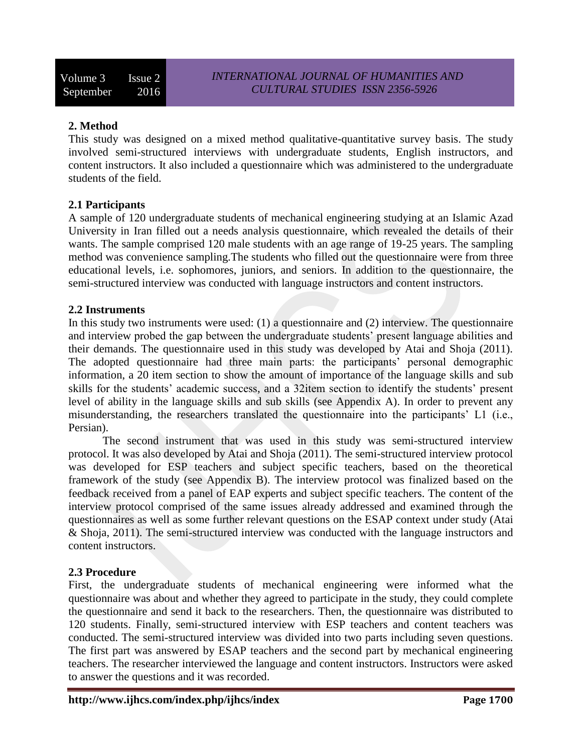# **2. Method**

This study was designed on a mixed method qualitative-quantitative survey basis. The study involved semi-structured interviews with undergraduate students, English instructors, and content instructors. It also included a questionnaire which was administered to the undergraduate students of the field.

## **2.1 Participants**

A sample of 120 undergraduate students of mechanical engineering studying at an Islamic Azad University in Iran filled out a needs analysis questionnaire, which revealed the details of their wants. The sample comprised 120 male students with an age range of 19-25 years. The sampling method was convenience sampling.The students who filled out the questionnaire were from three educational levels, i.e. sophomores, juniors, and seniors. In addition to the questionnaire, the semi-structured interview was conducted with language instructors and content instructors.

## **2.2 Instruments**

In this study two instruments were used: (1) a questionnaire and (2) interview. The questionnaire and interview probed the gap between the undergraduate students' present language abilities and their demands. The questionnaire used in this study was developed by Atai and Shoja (2011). The adopted questionnaire had three main parts: the participants' personal demographic information, a 20 item section to show the amount of importance of the language skills and sub skills for the students' academic success, and a 32item section to identify the students' present level of ability in the language skills and sub skills (see Appendix A). In order to prevent any misunderstanding, the researchers translated the questionnaire into the participants' L1 (i.e., Persian).

The second instrument that was used in this study was semi-structured interview protocol. It was also developed by Atai and Shoja (2011). The semi-structured interview protocol was developed for ESP teachers and subject specific teachers, based on the theoretical framework of the study (see Appendix B). The interview protocol was finalized based on the feedback received from a panel of EAP experts and subject specific teachers. The content of the interview protocol comprised of the same issues already addressed and examined through the questionnaires as well as some further relevant questions on the ESAP context under study (Atai & Shoja, 2011). The semi-structured interview was conducted with the language instructors and content instructors.

## **2.3 Procedure**

First, the undergraduate students of mechanical engineering were informed what the questionnaire was about and whether they agreed to participate in the study, they could complete the questionnaire and send it back to the researchers. Then, the questionnaire was distributed to 120 students. Finally, semi-structured interview with ESP teachers and content teachers was conducted. The semi-structured interview was divided into two parts including seven questions. The first part was answered by ESAP teachers and the second part by mechanical engineering teachers. The researcher interviewed the language and content instructors. Instructors were asked to answer the questions and it was recorded.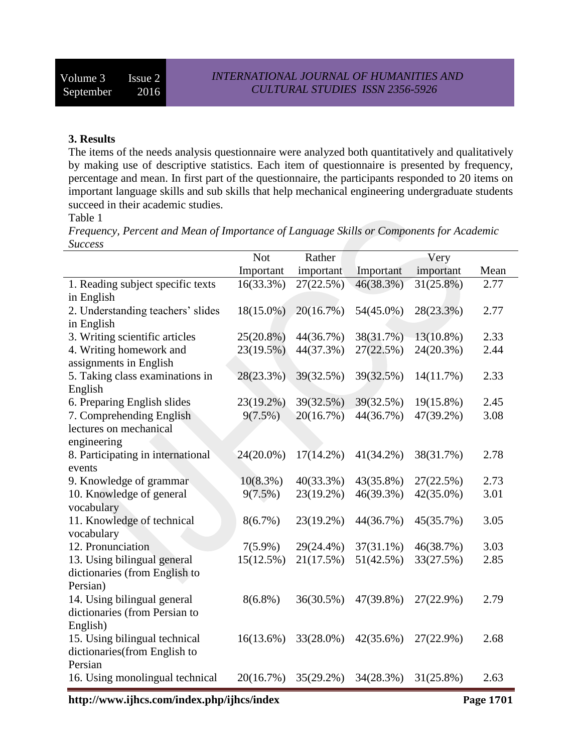## **3. Results**

The items of the needs analysis questionnaire were analyzed both quantitatively and qualitatively by making use of descriptive statistics. Each item of questionnaire is presented by frequency, percentage and mean. In first part of the questionnaire, the participants responded to 20 items on important language skills and sub skills that help mechanical engineering undergraduate students succeed in their academic studies.

#### Table 1

*Frequency, Percent and Mean of Importance of Language Skills or Components for Academic Success*

|                                   | <b>Not</b>   | Rather       |              | Very         |      |
|-----------------------------------|--------------|--------------|--------------|--------------|------|
|                                   | Important    | important    | Important    | important    | Mean |
| 1. Reading subject specific texts | $16(33.3\%)$ | 27(22.5%)    | 46(38.3%)    | $31(25.8\%)$ | 2.77 |
| in English                        |              |              |              |              |      |
| 2. Understanding teachers' slides | $18(15.0\%)$ | 20(16.7%)    | 54(45.0%)    | 28(23.3%)    | 2.77 |
| in English                        |              |              |              |              |      |
| 3. Writing scientific articles    | 25(20.8%)    | 44(36.7%)    | 38(31.7%)    | 13(10.8%)    | 2.33 |
| 4. Writing homework and           | 23(19.5%)    | 44(37.3%)    | 27(22.5%)    | 24(20.3%)    | 2.44 |
| assignments in English            |              |              |              |              |      |
| 5. Taking class examinations in   | 28(23.3%)    | 39(32.5%)    | 39(32.5%)    | 14(11.7%)    | 2.33 |
| English                           |              |              |              |              |      |
| 6. Preparing English slides       | 23(19.2%)    | 39(32.5%)    | 39(32.5%)    | 19(15.8%)    | 2.45 |
| 7. Comprehending English          | $9(7.5\%)$   | 20(16.7%)    | 44(36.7%)    | 47(39.2%)    | 3.08 |
| lectures on mechanical            |              |              |              |              |      |
| engineering                       |              |              |              |              |      |
| 8. Participating in international | 24(20.0%)    | $17(14.2\%)$ | 41(34.2%)    | 38(31.7%)    | 2.78 |
| events                            |              |              |              |              |      |
| 9. Knowledge of grammar           | $10(8.3\%)$  | 40(33.3%)    | 43(35.8%)    | 27(22.5%)    | 2.73 |
| 10. Knowledge of general          | $9(7.5\%)$   | 23(19.2%)    | 46(39.3%)    | 42(35.0%)    | 3.01 |
| vocabulary                        |              |              |              |              |      |
| 11. Knowledge of technical        | 8(6.7%)      | 23(19.2%)    | 44(36.7%)    | 45(35.7%)    | 3.05 |
| vocabulary                        |              |              |              |              |      |
| 12. Pronunciation                 | $7(5.9\%)$   | 29(24.4%)    | $37(31.1\%)$ | 46(38.7%)    | 3.03 |
| 13. Using bilingual general       | 15(12.5%)    | 21(17.5%)    | 51(42.5%)    | 33(27.5%)    | 2.85 |
| dictionaries (from English to     |              |              |              |              |      |
| Persian)                          |              |              |              |              |      |
| 14. Using bilingual general       | $8(6.8\%)$   | 36(30.5%)    | 47(39.8%)    | 27(22.9%)    | 2.79 |
| dictionaries (from Persian to     |              |              |              |              |      |
| English)                          |              |              |              |              |      |
| 15. Using bilingual technical     | 16(13.6%)    | 33(28.0%)    | 42(35.6%)    | 27(22.9%)    | 2.68 |
| dictionaries(from English to      |              |              |              |              |      |
| Persian                           |              |              |              |              |      |
| 16. Using monolingual technical   | 20(16.7%)    | 35(29.2%)    | 34(28.3%)    | $31(25.8\%)$ | 2.63 |

**http://www.ijhcs.com/index.php/ijhcs/index Page 1701**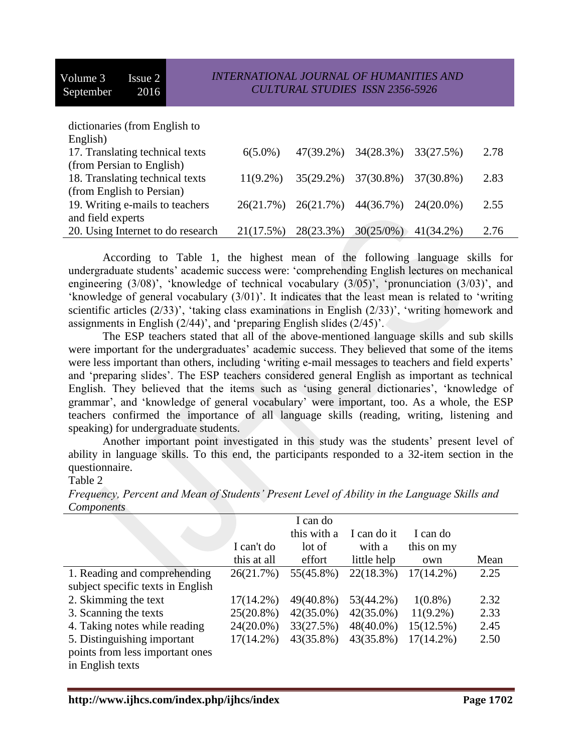| dictionaries (from English to     |             |              |           |              |      |
|-----------------------------------|-------------|--------------|-----------|--------------|------|
| English)                          |             |              |           |              |      |
| 17. Translating technical texts   | $6(5.0\%)$  | 47(39.2%)    | 34(28.3%) | 33(27.5%)    | 2.78 |
| (from Persian to English)         |             |              |           |              |      |
| 18. Translating technical texts   | $11(9.2\%)$ | $35(29.2\%)$ | 37(30.8%) | 37(30.8%)    | 2.83 |
| (from English to Persian)         |             |              |           |              |      |
| 19. Writing e-mails to teachers   | 26(21.7%)   | 26(21.7%)    | 44(36.7%) | $24(20.0\%)$ | 2.55 |
| and field experts                 |             |              |           |              |      |
| 20. Using Internet to do research | 21(17.5%)   | 28(23.3%)    | 30(25/0%) | 41(34.2%)    | 2.76 |

According to Table 1, the highest mean of the following language skills for undergraduate students' academic success were: 'comprehending English lectures on mechanical engineering (3/08)', 'knowledge of technical vocabulary (3/05)', 'pronunciation (3/03)', and 'knowledge of general vocabulary (3/01)'. It indicates that the least mean is related to 'writing scientific articles (2/33)', 'taking class examinations in English (2/33)', 'writing homework and assignments in English (2/44)', and 'preparing English slides (2/45)'.

The ESP teachers stated that all of the above-mentioned language skills and sub skills were important for the undergraduates' academic success. They believed that some of the items were less important than others, including 'writing e-mail messages to teachers and field experts' and 'preparing slides'. The ESP teachers considered general English as important as technical English. They believed that the items such as 'using general dictionaries', 'knowledge of grammar', and 'knowledge of general vocabulary' were important, too. As a whole, the ESP teachers confirmed the importance of all language skills (reading, writing, listening and speaking) for undergraduate students.

Another important point investigated in this study was the students' present level of ability in language skills. To this end, the participants responded to a 32-item section in the questionnaire.

## Table 2

| Components                        |              |              |              |              |      |
|-----------------------------------|--------------|--------------|--------------|--------------|------|
|                                   |              | I can do     |              |              |      |
|                                   |              | this with a  | I can do it  | I can do     |      |
|                                   | I can't do   | lot of       | with a       | this on my   |      |
|                                   | this at all  | effort       | little help  | own          | Mean |
| 1. Reading and comprehending      | 26(21.7%)    | $55(45.8\%)$ | 22(18.3%)    | $17(14.2\%)$ | 2.25 |
| subject specific texts in English |              |              |              |              |      |
| 2. Skimming the text              | $17(14.2\%)$ | $49(40.8\%)$ | $53(44.2\%)$ | $1(0.8\%)$   | 2.32 |
| 3. Scanning the texts             | $25(20.8\%)$ | $42(35.0\%)$ | $42(35.0\%)$ | $11(9.2\%)$  | 2.33 |
| 4. Taking notes while reading     | $24(20.0\%)$ | 33(27.5%)    | $48(40.0\%)$ | 15(12.5%)    | 2.45 |
| 5. Distinguishing important       | $17(14.2\%)$ | 43(35.8%)    | 43(35.8%)    | $17(14.2\%)$ | 2.50 |
| points from less important ones   |              |              |              |              |      |
| in English texts                  |              |              |              |              |      |
|                                   |              |              |              |              |      |

*Frequency, Percent and Mean of Students' Present Level of Ability in the Language Skills and Components*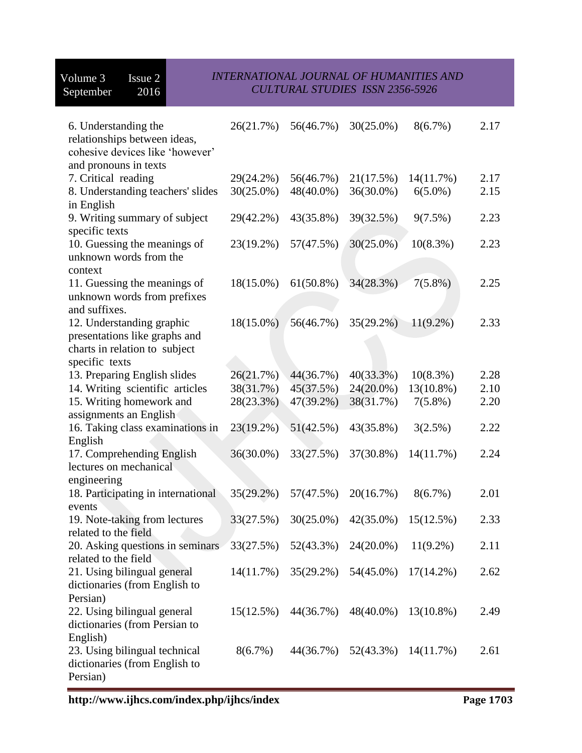# *INTERNATIONAL JOURNAL OF HUMANITIES AND CULTURAL STUDIES ISSN 2356-5926*

| 6. Understanding the<br>relationships between ideas,<br>cohesive devices like 'however' | 26(21.7%)    | 56(46.7%)    | $30(25.0\%)$ | 8(6.7%)      | 2.17 |
|-----------------------------------------------------------------------------------------|--------------|--------------|--------------|--------------|------|
| and pronouns in texts                                                                   |              |              |              |              |      |
| 7. Critical reading                                                                     | 29(24.2%)    | 56(46.7%)    | 21(17.5%)    | 14(11.7%)    | 2.17 |
|                                                                                         |              |              |              |              | 2.15 |
| 8. Understanding teachers' slides<br>in English                                         | $30(25.0\%)$ | 48(40.0%)    | 36(30.0%)    | $6(5.0\%)$   |      |
| 9. Writing summary of subject                                                           | 29(42.2%)    | 43(35.8%)    | 39(32.5%)    | 9(7.5%)      | 2.23 |
| specific texts                                                                          |              |              |              |              |      |
| 10. Guessing the meanings of                                                            | 23(19.2%)    | 57(47.5%)    | $30(25.0\%)$ | $10(8.3\%)$  | 2.23 |
| unknown words from the                                                                  |              |              |              |              |      |
| context                                                                                 |              |              |              |              |      |
| 11. Guessing the meanings of                                                            | $18(15.0\%)$ | $61(50.8\%)$ | 34(28.3%)    | $7(5.8\%)$   | 2.25 |
| unknown words from prefixes                                                             |              |              |              |              |      |
| and suffixes.                                                                           |              |              |              |              |      |
| 12. Understanding graphic                                                               | $18(15.0\%)$ | 56(46.7%)    | $35(29.2\%)$ | $11(9.2\%)$  | 2.33 |
| presentations like graphs and                                                           |              |              |              |              |      |
| charts in relation to subject                                                           |              |              |              |              |      |
| specific texts                                                                          |              |              |              |              |      |
| 13. Preparing English slides                                                            | 26(21.7%)    | 44(36.7%)    | 40(33.3%)    | $10(8.3\%)$  | 2.28 |
| 14. Writing scientific articles                                                         | 38(31.7%)    | 45(37.5%)    | 24(20.0%)    | 13(10.8%)    | 2.10 |
|                                                                                         |              |              |              |              | 2.20 |
| 15. Writing homework and                                                                | 28(23.3%)    | 47(39.2%)    | 38(31.7%)    | $7(5.8\%)$   |      |
| assignments an English                                                                  |              |              |              |              | 2.22 |
| 16. Taking class examinations in                                                        | 23(19.2%)    | 51(42.5%)    | 43(35.8%)    | 3(2.5%)      |      |
| English                                                                                 |              |              |              |              |      |
| 17. Comprehending English                                                               | 36(30.0%)    | 33(27.5%)    | 37(30.8%)    | 14(11.7%)    | 2.24 |
| lectures on mechanical                                                                  |              |              |              |              |      |
| engineering                                                                             |              |              |              |              |      |
| 18. Participating in international                                                      | $35(29.2\%)$ | 57(47.5%)    | 20(16.7%)    | 8(6.7%)      | 2.01 |
| events                                                                                  |              |              |              |              |      |
| 19. Note-taking from lectures<br>related to the field                                   | 33(27.5%)    | $30(25.0\%)$ | 42(35.0%)    | 15(12.5%)    | 2.33 |
|                                                                                         |              |              |              | $11(9.2\%)$  | 2.11 |
| 20. Asking questions in seminars<br>related to the field                                | 33(27.5%)    | 52(43.3%)    | $24(20.0\%)$ |              |      |
| 21. Using bilingual general                                                             |              | $35(29.2\%)$ | $54(45.0\%)$ |              | 2.62 |
|                                                                                         | 14(11.7%)    |              |              | $17(14.2\%)$ |      |
| dictionaries (from English to                                                           |              |              |              |              |      |
| Persian)                                                                                |              |              |              |              |      |
| 22. Using bilingual general                                                             | 15(12.5%)    | 44(36.7%)    | $48(40.0\%)$ | $13(10.8\%)$ | 2.49 |
| dictionaries (from Persian to                                                           |              |              |              |              |      |
| English)                                                                                |              |              |              |              |      |
| 23. Using bilingual technical                                                           | 8(6.7%)      | 44(36.7%)    | 52(43.3%)    | 14(11.7%)    | 2.61 |
| dictionaries (from English to                                                           |              |              |              |              |      |
| Persian)                                                                                |              |              |              |              |      |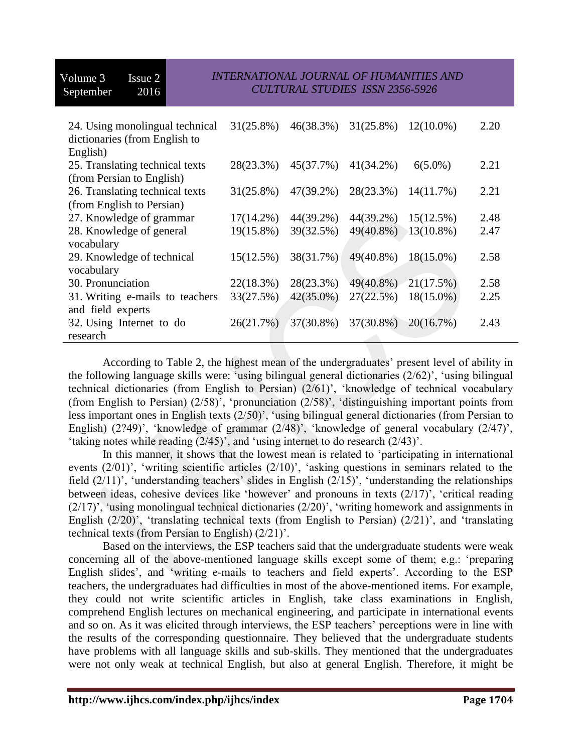# *INTERNATIONAL JOURNAL OF HUMANITIES AND CULTURAL STUDIES ISSN 2356-5926*

| 24. Using monolingual technical<br>dictionaries (from English to<br>English) | $31(25.8\%)$ | 46(38.3%)    | $31(25.8\%)$ | $12(10.0\%)$ | 2.20 |
|------------------------------------------------------------------------------|--------------|--------------|--------------|--------------|------|
| 25. Translating technical texts                                              | $28(23.3\%)$ | 45(37.7%)    | $41(34.2\%)$ | $6(5.0\%)$   | 2.21 |
| (from Persian to English)                                                    |              |              |              |              |      |
| 26. Translating technical texts                                              | $31(25.8\%)$ | 47(39.2%)    | 28(23.3%)    | $14(11.7\%)$ | 2.21 |
| (from English to Persian)                                                    |              |              |              |              |      |
| 27. Knowledge of grammar                                                     | $17(14.2\%)$ | 44(39.2%)    | 44(39.2%)    | $15(12.5\%)$ | 2.48 |
| 28. Knowledge of general                                                     | 19(15.8%)    | 39(32.5%)    | 49(40.8%)    | $13(10.8\%)$ | 2.47 |
| vocabulary                                                                   |              |              |              |              |      |
| 29. Knowledge of technical                                                   | 15(12.5%)    | 38(31.7%)    | $49(40.8\%)$ | $18(15.0\%)$ | 2.58 |
| vocabulary                                                                   |              |              |              |              |      |
| 30. Pronunciation                                                            | 22(18.3%)    | $28(23.3\%)$ | 49(40.8%)    | 21(17.5%)    | 2.58 |
| 31. Writing e-mails to teachers                                              | 33(27.5%)    | $42(35.0\%)$ | 27(22.5%)    | $18(15.0\%)$ | 2.25 |
| and field experts                                                            |              |              |              |              |      |
| 32. Using Internet to do                                                     | 26(21.7%)    | 37(30.8%)    | $37(30.8\%)$ | 20(16.7%)    | 2.43 |
| research                                                                     |              |              |              |              |      |

According to Table 2, the highest mean of the undergraduates' present level of ability in the following language skills were: 'using bilingual general dictionaries (2/62)', 'using bilingual technical dictionaries (from English to Persian) (2/61)', 'knowledge of technical vocabulary (from English to Persian) (2/58)', 'pronunciation (2/58)', 'distinguishing important points from less important ones in English texts (2/50)', 'using bilingual general dictionaries (from Persian to English) (2?49)', 'knowledge of grammar (2/48)', 'knowledge of general vocabulary (2/47)', 'taking notes while reading (2/45)', and 'using internet to do research (2/43)'.

In this manner, it shows that the lowest mean is related to 'participating in international events (2/01)', 'writing scientific articles (2/10)', 'asking questions in seminars related to the field (2/11)', 'understanding teachers' slides in English (2/15)', 'understanding the relationships between ideas, cohesive devices like 'however' and pronouns in texts (2/17)', 'critical reading  $(2/17)$ <sup>'</sup>, 'using monolingual technical dictionaries  $(2/20)$ ', 'writing homework and assignments in English (2/20)', 'translating technical texts (from English to Persian) (2/21)', and 'translating technical texts (from Persian to English) (2/21)'.

Based on the interviews, the ESP teachers said that the undergraduate students were weak concerning all of the above-mentioned language skills except some of them; e.g.: 'preparing English slides', and 'writing e-mails to teachers and field experts'. According to the ESP teachers, the undergraduates had difficulties in most of the above-mentioned items. For example, they could not write scientific articles in English, take class examinations in English, comprehend English lectures on mechanical engineering, and participate in international events and so on. As it was elicited through interviews, the ESP teachers' perceptions were in line with the results of the corresponding questionnaire. They believed that the undergraduate students have problems with all language skills and sub-skills. They mentioned that the undergraduates were not only weak at technical English, but also at general English. Therefore, it might be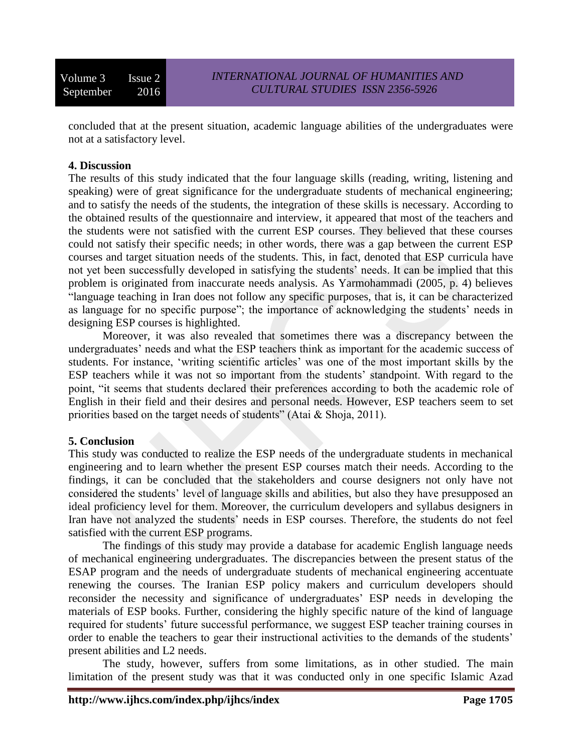Volume 3 Issue 2 September 2016

concluded that at the present situation, academic language abilities of the undergraduates were not at a satisfactory level.

## **4. Discussion**

The results of this study indicated that the four language skills (reading, writing, listening and speaking) were of great significance for the undergraduate students of mechanical engineering; and to satisfy the needs of the students, the integration of these skills is necessary. According to the obtained results of the questionnaire and interview, it appeared that most of the teachers and the students were not satisfied with the current ESP courses. They believed that these courses could not satisfy their specific needs; in other words, there was a gap between the current ESP courses and target situation needs of the students. This, in fact, denoted that ESP curricula have not yet been successfully developed in satisfying the students' needs. It can be implied that this problem is originated from inaccurate needs analysis. As Yarmohammadi (2005, p. 4) believes "language teaching in Iran does not follow any specific purposes, that is, it can be characterized as language for no specific purpose"; the importance of acknowledging the students' needs in designing ESP courses is highlighted.

Moreover, it was also revealed that sometimes there was a discrepancy between the undergraduates' needs and what the ESP teachers think as important for the academic success of students. For instance, 'writing scientific articles' was one of the most important skills by the ESP teachers while it was not so important from the students' standpoint. With regard to the point, "it seems that students declared their preferences according to both the academic role of English in their field and their desires and personal needs. However, ESP teachers seem to set priorities based on the target needs of students" (Atai & Shoja, 2011).

## **5. Conclusion**

This study was conducted to realize the ESP needs of the undergraduate students in mechanical engineering and to learn whether the present ESP courses match their needs. According to the findings, it can be concluded that the stakeholders and course designers not only have not considered the students' level of language skills and abilities, but also they have presupposed an ideal proficiency level for them. Moreover, the curriculum developers and syllabus designers in Iran have not analyzed the students' needs in ESP courses. Therefore, the students do not feel satisfied with the current ESP programs.

The findings of this study may provide a database for academic English language needs of mechanical engineering undergraduates. The discrepancies between the present status of the ESAP program and the needs of undergraduate students of mechanical engineering accentuate renewing the courses. The Iranian ESP policy makers and curriculum developers should reconsider the necessity and significance of undergraduates' ESP needs in developing the materials of ESP books. Further, considering the highly specific nature of the kind of language required for students' future successful performance, we suggest ESP teacher training courses in order to enable the teachers to gear their instructional activities to the demands of the students' present abilities and L2 needs.

The study, however, suffers from some limitations, as in other studied. The main limitation of the present study was that it was conducted only in one specific Islamic Azad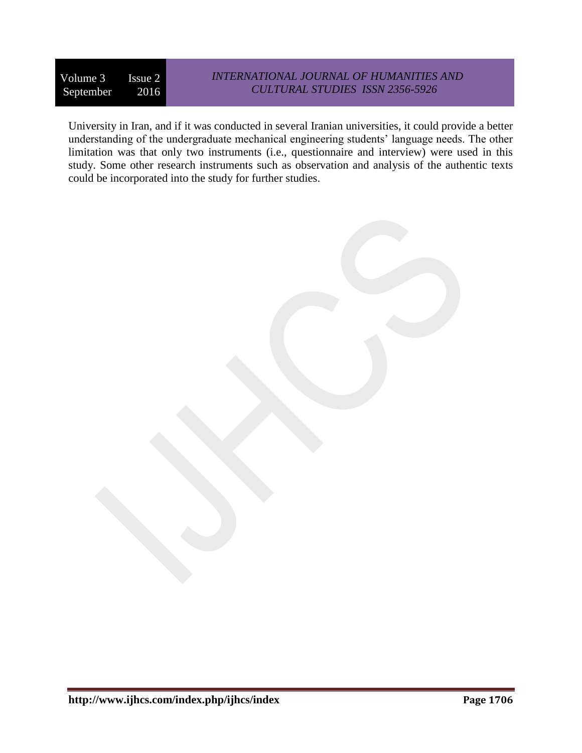# *INTERNATIONAL JOURNAL OF HUMANITIES AND CULTURAL STUDIES ISSN 2356-5926*

University in Iran, and if it was conducted in several Iranian universities, it could provide a better understanding of the undergraduate mechanical engineering students' language needs. The other limitation was that only two instruments (i.e., questionnaire and interview) were used in this study. Some other research instruments such as observation and analysis of the authentic texts could be incorporated into the study for further studies.